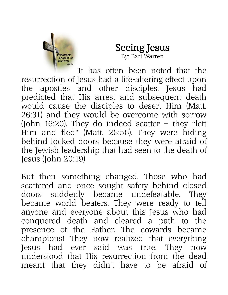

Seeing Jesus By: Bart Warren

It has often been noted that the resurrection of Jesus had a life-altering effect upon the apostles and other disciples. Jesus had predicted that His arrest and subsequent death would cause the disciples to desert Him (Matt. 26:31) and they would be overcome with sorrow (John 16:20). They do indeed scatter – they "left Him and fled" (Matt. 26:56). They were hiding behind locked doors because they were afraid of the Jewish leadership that had seen to the death of Jesus (John 20:19).

But then something changed. Those who had scattered and once sought safety behind closed doors suddenly became undefeatable. They became world beaters. They were ready to tell anyone and everyone about this Jesus who had conquered death and cleared a path to the presence of the Father. The cowards became champions! They now realized that everything Jesus had ever said was true. They now understood that His resurrection from the dead meant that they didn't have to be afraid of